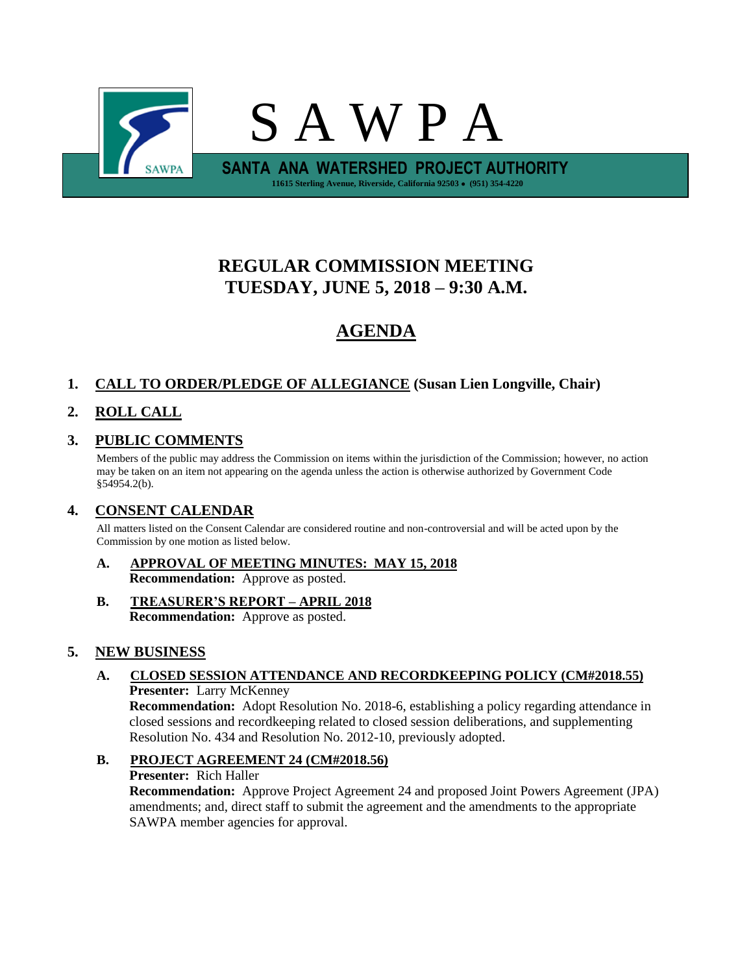

# **REGULAR COMMISSION MEETING TUESDAY, JUNE 5, 2018 – 9:30 A.M.**

# **AGENDA**

### **1. CALL TO ORDER/PLEDGE OF ALLEGIANCE (Susan Lien Longville, Chair)**

## **2. ROLL CALL**

## **3. PUBLIC COMMENTS**

Members of the public may address the Commission on items within the jurisdiction of the Commission; however, no action may be taken on an item not appearing on the agenda unless the action is otherwise authorized by Government Code §54954.2(b).

### **4. CONSENT CALENDAR**

All matters listed on the Consent Calendar are considered routine and non-controversial and will be acted upon by the Commission by one motion as listed below.

#### **A. APPROVAL OF MEETING MINUTES: MAY 15, 2018 Recommendation:** Approve as posted.

**B. TREASURER'S REPORT – APRIL 2018 Recommendation:** Approve as posted.

### **5. NEW BUSINESS**

### **A. CLOSED SESSION ATTENDANCE AND RECORDKEEPING POLICY (CM#2018.55) Presenter:** Larry McKenney

**Recommendation:** Adopt Resolution No. 2018-6, establishing a policy regarding attendance in closed sessions and recordkeeping related to closed session deliberations, and supplementing Resolution No. 434 and Resolution No. 2012-10, previously adopted.

### **B. PROJECT AGREEMENT 24 (CM#2018.56) Presenter:** Rich Haller **Recommendation:** Approve Project Agreement 24 and proposed Joint Powers Agreement (JPA) amendments; and, direct staff to submit the agreement and the amendments to the appropriate

SAWPA member agencies for approval.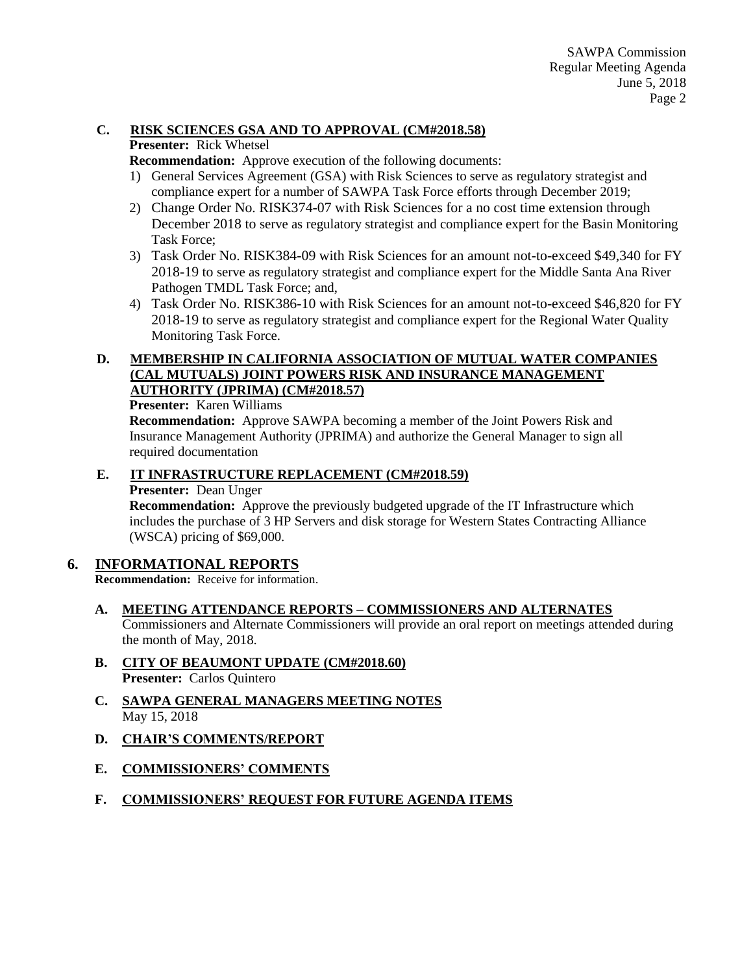### **C. RISK SCIENCES GSA AND TO APPROVAL (CM#2018.58)**

### **Presenter:** Rick Whetsel

**Recommendation:** Approve execution of the following documents:

- 1) General Services Agreement (GSA) with Risk Sciences to serve as regulatory strategist and compliance expert for a number of SAWPA Task Force efforts through December 2019;
- 2) Change Order No. RISK374-07 with Risk Sciences for a no cost time extension through December 2018 to serve as regulatory strategist and compliance expert for the Basin Monitoring Task Force;
- 3) Task Order No. RISK384-09 with Risk Sciences for an amount not-to-exceed \$49,340 for FY 2018-19 to serve as regulatory strategist and compliance expert for the Middle Santa Ana River Pathogen TMDL Task Force; and,
- 4) Task Order No. RISK386-10 with Risk Sciences for an amount not-to-exceed \$46,820 for FY 2018-19 to serve as regulatory strategist and compliance expert for the Regional Water Quality Monitoring Task Force.

### **D. MEMBERSHIP IN CALIFORNIA ASSOCIATION OF MUTUAL WATER COMPANIES (CAL MUTUALS) JOINT POWERS RISK AND INSURANCE MANAGEMENT AUTHORITY (JPRIMA) (CM#2018.57)**

### **Presenter:** Karen Williams

**Recommendation:** Approve SAWPA becoming a member of the Joint Powers Risk and Insurance Management Authority (JPRIMA) and authorize the General Manager to sign all required documentation

### **E. IT INFRASTRUCTURE REPLACEMENT (CM#2018.59)**

**Presenter:** Dean Unger

**Recommendation:** Approve the previously budgeted upgrade of the IT Infrastructure which includes the purchase of 3 HP Servers and disk storage for Western States Contracting Alliance (WSCA) pricing of \$69,000.

### **6. INFORMATIONAL REPORTS**

**Recommendation:** Receive for information.

### **A. MEETING ATTENDANCE REPORTS – COMMISSIONERS AND ALTERNATES**

Commissioners and Alternate Commissioners will provide an oral report on meetings attended during the month of May, 2018.

- **B. CITY OF BEAUMONT UPDATE (CM#2018.60) Presenter:** Carlos Quintero
- **C. SAWPA GENERAL MANAGERS MEETING NOTES** May 15, 2018
- **D. CHAIR'S COMMENTS/REPORT**
- **E. COMMISSIONERS' COMMENTS**
- **F. COMMISSIONERS' REQUEST FOR FUTURE AGENDA ITEMS**